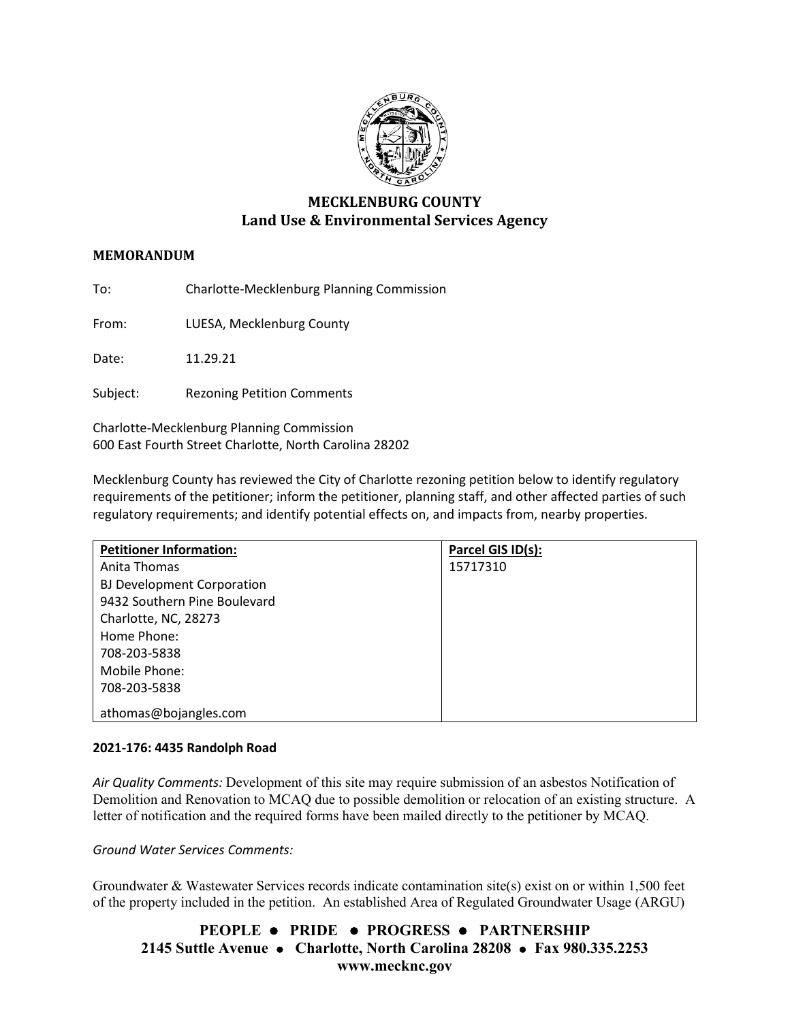

# **MECKLENBURG COUNTY Land Use & Environmental Services Agency**

# **MEMORANDUM**

To: Charlotte-Mecklenburg Planning Commission

From: LUESA, Mecklenburg County

Date: 11.29.21

Subject: Rezoning Petition Comments

Charlotte-Mecklenburg Planning Commission 600 East Fourth Street Charlotte, North Carolina 28202

Mecklenburg County has reviewed the City of Charlotte rezoning petition below to identify regulatory requirements of the petitioner; inform the petitioner, planning staff, and other affected parties of such regulatory requirements; and identify potential effects on, and impacts from, nearby properties.

| <b>Petitioner Information:</b>    | Parcel GIS ID(s): |
|-----------------------------------|-------------------|
| Anita Thomas                      | 15717310          |
| <b>BJ Development Corporation</b> |                   |
| 9432 Southern Pine Boulevard      |                   |
| Charlotte, NC, 28273              |                   |
| Home Phone:                       |                   |
| 708-203-5838                      |                   |
| Mobile Phone:                     |                   |
| 708-203-5838                      |                   |
| athomas@bojangles.com             |                   |

### **2021-176: 4435 Randolph Road**

*Air Quality Comments:* Development of this site may require submission of an asbestos Notification of Demolition and Renovation to MCAQ due to possible demolition or relocation of an existing structure. A letter of notification and the required forms have been mailed directly to the petitioner by MCAQ.

*Ground Water Services Comments:* 

Groundwater & Wastewater Services records indicate contamination site(s) exist on or within 1,500 feet of the property included in the petition. An established Area of Regulated Groundwater Usage (ARGU)

# **PEOPLE PRIDE PROGRESS PARTNERSHIP 2145 Suttle Avenue Charlotte, North Carolina 28208 Fax 980.335.2253 www.mecknc.gov**